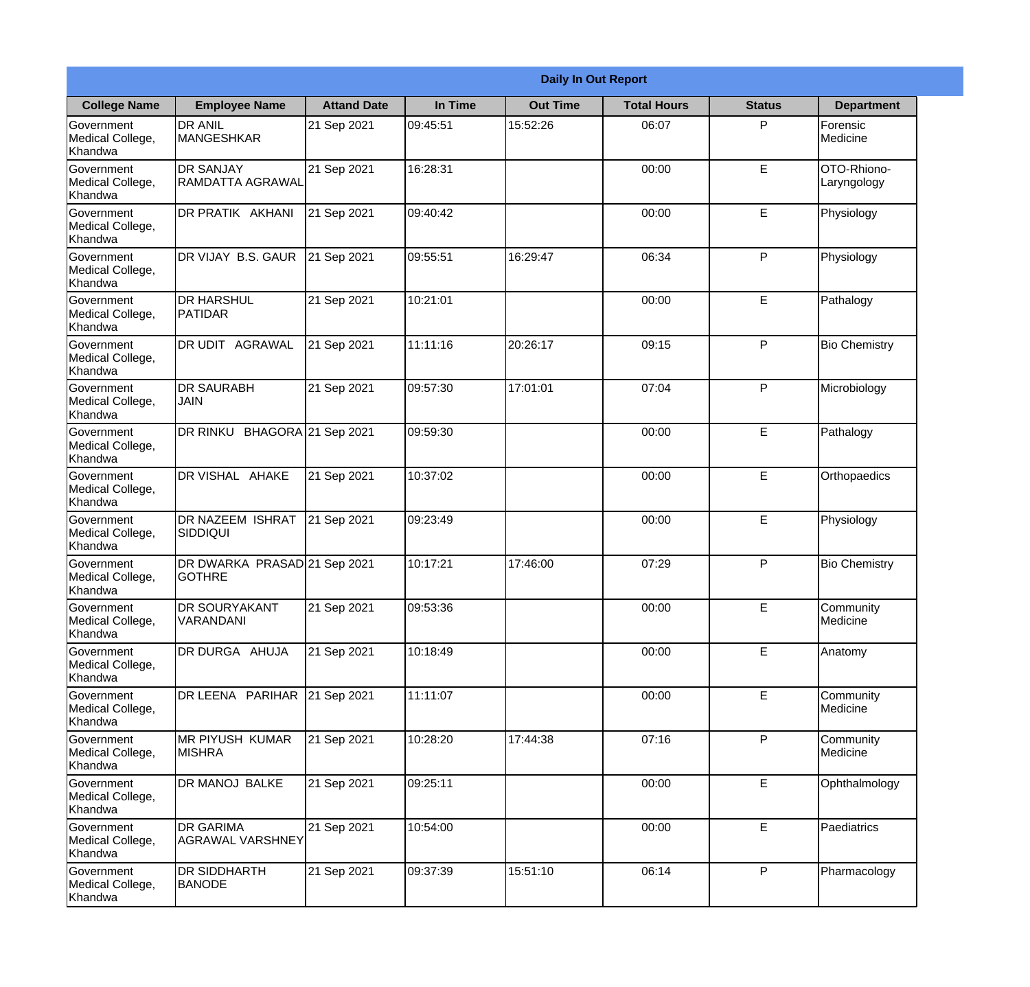|                                                  | <b>Daily In Out Report</b>                    |                    |          |                 |                    |               |                            |
|--------------------------------------------------|-----------------------------------------------|--------------------|----------|-----------------|--------------------|---------------|----------------------------|
| <b>College Name</b>                              | <b>Employee Name</b>                          | <b>Attand Date</b> | In Time  | <b>Out Time</b> | <b>Total Hours</b> | <b>Status</b> | <b>Department</b>          |
| Government<br>Medical College,<br>Khandwa        | <b>DR ANIL</b><br><b>MANGESHKAR</b>           | 21 Sep 2021        | 09:45:51 | 15:52:26        | 06:07              | P             | Forensic<br>Medicine       |
| Government<br>Medical College,<br>Khandwa        | <b>DR SANJAY</b><br>RAMDATTA AGRAWAL          | 21 Sep 2021        | 16:28:31 |                 | 00:00              | E             | OTO-Rhiono-<br>Laryngology |
| <b>Government</b><br>Medical College,<br>Khandwa | DR PRATIK AKHANI                              | 21 Sep 2021        | 09:40:42 |                 | 00:00              | E             | Physiology                 |
| Government<br>Medical College,<br>Khandwa        | DR VIJAY B.S. GAUR                            | 21 Sep 2021        | 09:55:51 | 16:29:47        | 06:34              | P             | Physiology                 |
| <b>Government</b><br>Medical College,<br>Khandwa | <b>DR HARSHUL</b><br><b>PATIDAR</b>           | 21 Sep 2021        | 10:21:01 |                 | 00:00              | E             | Pathalogy                  |
| Government<br>Medical College,<br>Khandwa        | DR UDIT AGRAWAL                               | 21 Sep 2021        | 11:11:16 | 20:26:17        | 09:15              | P             | <b>Bio Chemistry</b>       |
| <b>Government</b><br>Medical College,<br>Khandwa | <b>DR SAURABH</b><br><b>JAIN</b>              | 21 Sep 2021        | 09:57:30 | 17:01:01        | 07:04              | P             | Microbiology               |
| Government<br>Medical College,<br>Khandwa        | DR RINKU BHAGORA 21 Sep 2021                  |                    | 09:59:30 |                 | 00:00              | E             | Pathalogy                  |
| <b>Government</b><br>Medical College,<br>Khandwa | DR VISHAL AHAKE                               | 21 Sep 2021        | 10:37:02 |                 | 00:00              | E             | Orthopaedics               |
| Government<br>Medical College,<br>Khandwa        | DR NAZEEM ISHRAT<br>SIDDIQUI                  | 21 Sep 2021        | 09:23:49 |                 | 00:00              | E             | Physiology                 |
| Government<br>Medical College,<br>Khandwa        | DR DWARKA PRASAD 21 Sep 2021<br><b>GOTHRE</b> |                    | 10:17:21 | 17:46:00        | 07:29              | $\mathsf{P}$  | <b>Bio Chemistry</b>       |
| Government<br>Medical College,<br>Khandwa        | DR SOURYAKANT<br>VARANDANI                    | 21 Sep 2021        | 09:53:36 |                 | 00:00              | E             | Community<br>Medicine      |
| Government<br>Medical College,<br>Khandwa        | DR DURGA AHUJA                                | 21 Sep 2021        | 10:18:49 |                 | 00:00              | E             | Anatomy                    |
| Government<br>Medical College,<br>Khandwa        | DR LEENA PARIHAR                              | 21 Sep 2021        | 11:11:07 |                 | 00:00              | E             | Community<br>Medicine      |
| <b>Government</b><br>Medical College,<br>Khandwa | <b>MR PIYUSH KUMAR</b><br><b>MISHRA</b>       | 21 Sep 2021        | 10:28:20 | 17:44:38        | 07:16              | P             | Community<br>Medicine      |
| Government<br>Medical College,<br>Khandwa        | DR MANOJ BALKE                                | 21 Sep 2021        | 09:25:11 |                 | 00:00              | E             | Ophthalmology              |
| Government<br>Medical College,<br>Khandwa        | <b>DR GARIMA</b><br><b>AGRAWAL VARSHNEY</b>   | 21 Sep 2021        | 10:54:00 |                 | 00:00              | E             | Paediatrics                |
| Government<br>Medical College,<br>Khandwa        | <b>DR SIDDHARTH</b><br><b>BANODE</b>          | 21 Sep 2021        | 09:37:39 | 15:51:10        | 06:14              | P             | Pharmacology               |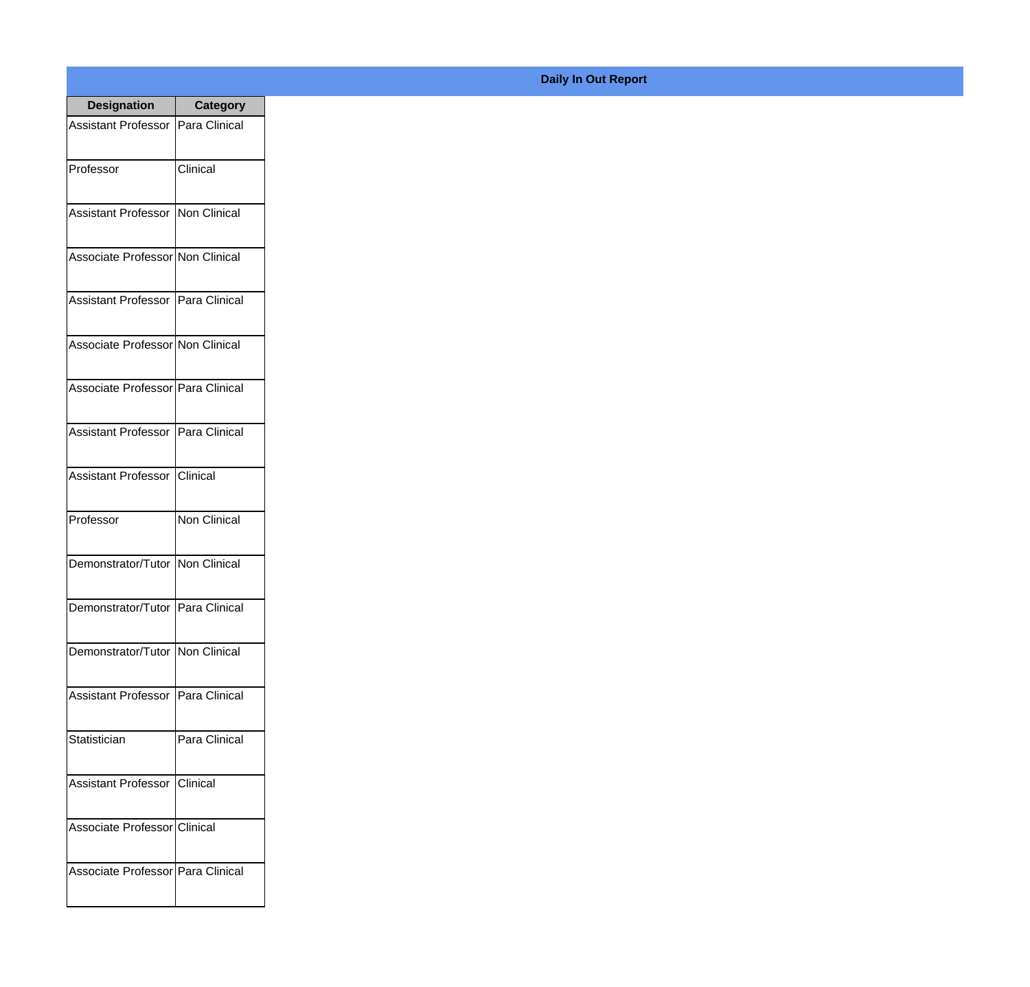| <b>Designation</b>                  | <b>Category</b> |
|-------------------------------------|-----------------|
| Assistant Professor   Para Clinical |                 |
| Professor                           | Clinical        |
| Assistant Professor   Non Clinical  |                 |
| Associate Professor Non Clinical    |                 |
| Assistant Professor   Para Clinical |                 |
| Associate Professor Non Clinical    |                 |
| Associate Professor Para Clinical   |                 |
| Assistant Professor   Para Clinical |                 |
| Assistant Professor   Clinical      |                 |
| Professor                           | Non Clinical    |
| Demonstrator/Tutor Non Clinical     |                 |
| Demonstrator/Tutor   Para Clinical  |                 |
| Demonstrator/Tutor   Non Clinical   |                 |
| Assistant Professor   Para Clinical |                 |
| Statistician                        | Para Clinical   |
| <b>Assistant Professor</b>          | Clinical        |
| Associate Professor Clinical        |                 |
| Associate Professor Para Clinical   |                 |

## **Daily In Out Report**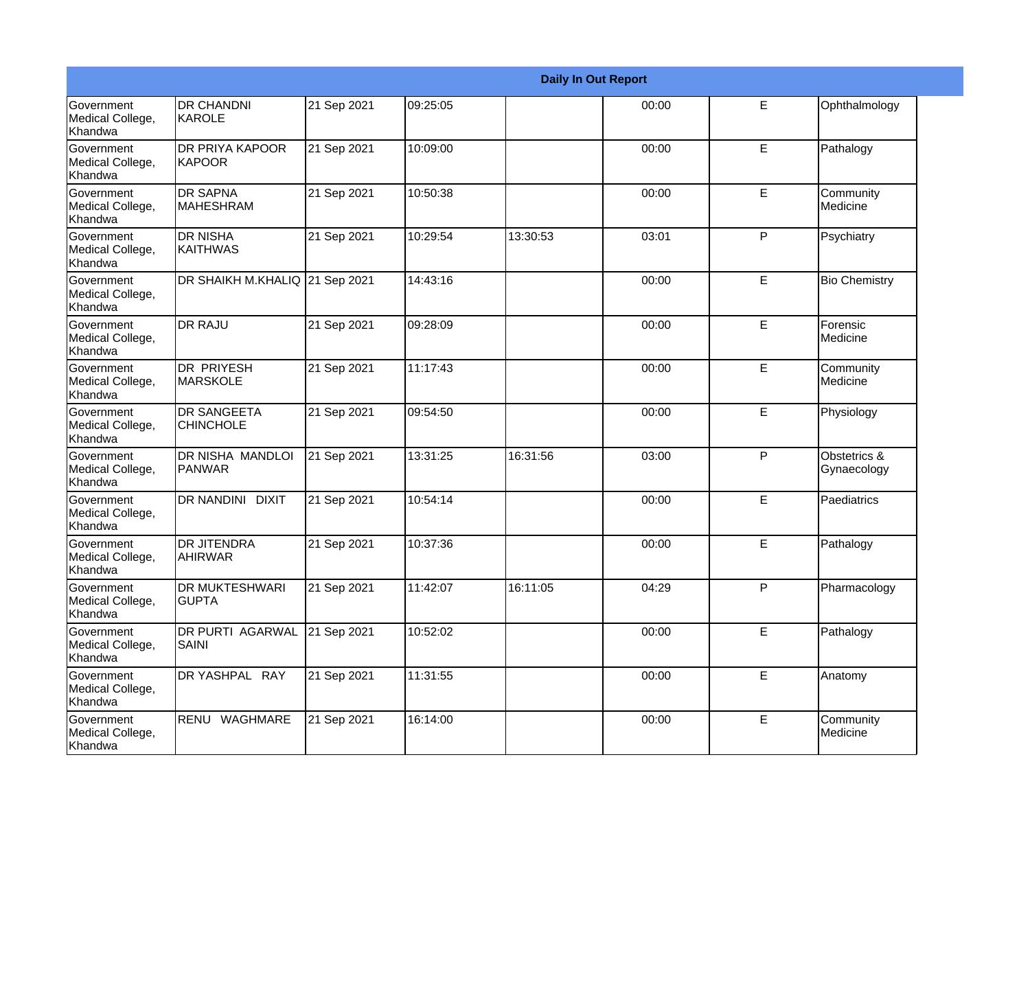|                                                  |                                         |             |          |          | <b>Daily In Out Report</b> |   |                             |
|--------------------------------------------------|-----------------------------------------|-------------|----------|----------|----------------------------|---|-----------------------------|
| Government<br>Medical College,<br>Khandwa        | <b>DR CHANDNI</b><br>KAROLE             | 21 Sep 2021 | 09:25:05 |          | 00:00                      | E | Ophthalmology               |
| Government<br>Medical College,<br>Khandwa        | DR PRIYA KAPOOR<br>KAPOOR               | 21 Sep 2021 | 10:09:00 |          | 00:00                      | E | Pathalogy                   |
| <b>Government</b><br>Medical College,<br>Khandwa | <b>DR SAPNA</b><br><b>MAHESHRAM</b>     | 21 Sep 2021 | 10:50:38 |          | 00:00                      | E | Community<br>Medicine       |
| <b>Government</b><br>Medical College,<br>Khandwa | <b>DR NISHA</b><br>KAITHWAS             | 21 Sep 2021 | 10:29:54 | 13:30:53 | 03:01                      | P | Psychiatry                  |
| Government<br>Medical College,<br>Khandwa        | <b>DR SHAIKH M.KHALIQ</b>               | 21 Sep 2021 | 14:43:16 |          | 00:00                      | E | <b>Bio Chemistry</b>        |
| Government<br>Medical College,<br>Khandwa        | <b>DR RAJU</b>                          | 21 Sep 2021 | 09:28:09 |          | 00:00                      | E | Forensic<br>Medicine        |
| Government<br>Medical College,<br>Khandwa        | <b>DR PRIYESH</b><br><b>MARSKOLE</b>    | 21 Sep 2021 | 11:17:43 |          | 00:00                      | E | Community<br>Medicine       |
| Government<br>Medical College,<br>Khandwa        | <b>DR SANGEETA</b><br><b>CHINCHOLE</b>  | 21 Sep 2021 | 09:54:50 |          | 00:00                      | E | Physiology                  |
| Government<br>Medical College,<br>Khandwa        | DR NISHA MANDLOI<br>PANWAR              | 21 Sep 2021 | 13:31:25 | 16:31:56 | 03:00                      | P | Obstetrics &<br>Gynaecology |
| Government<br>Medical College,<br>Khandwa        | <b>DR NANDINI DIXIT</b>                 | 21 Sep 2021 | 10:54:14 |          | 00:00                      | E | Paediatrics                 |
| Government<br>Medical College,<br>Khandwa        | <b>DR JITENDRA</b><br><b>AHIRWAR</b>    | 21 Sep 2021 | 10:37:36 |          | 00:00                      | E | Pathalogy                   |
| Government<br>Medical College,<br>Khandwa        | <b>DR MUKTESHWARI</b><br><b>GUPTA</b>   | 21 Sep 2021 | 11:42:07 | 16:11:05 | 04:29                      | P | Pharmacology                |
| Government<br>Medical College,<br>Khandwa        | <b>DR PURTI AGARWAL</b><br><b>SAINI</b> | 21 Sep 2021 | 10:52:02 |          | 00:00                      | E | Pathalogy                   |
| Government<br>Medical College,<br>Khandwa        | DR YASHPAL RAY                          | 21 Sep 2021 | 11:31:55 |          | 00:00                      | E | Anatomy                     |
| Government<br>Medical College,<br>Khandwa        | RENU WAGHMARE                           | 21 Sep 2021 | 16:14:00 |          | 00:00                      | E | Community<br>Medicine       |